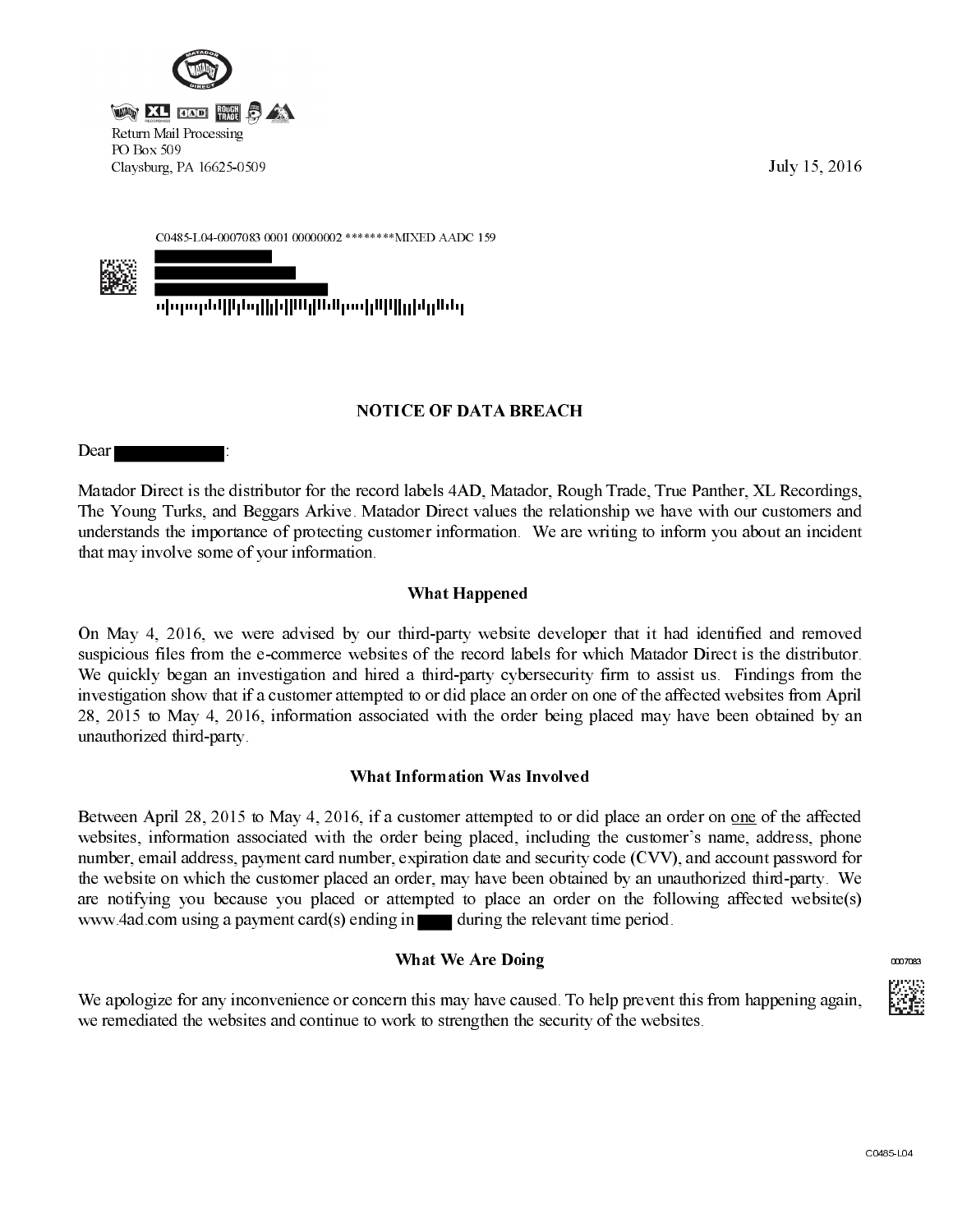

July 15, 2016

C0485-L04-0007083 0001 00000002 \*\*\*\*\*\*\*\* MIXED AADC 159

<u>սիդարնքիինդիկնքիներութիկկիլինդներ</u>

## **NOTICE OF DATA BREACH**

Dear

Matador Direct is the distributor for the record labels 4AD, Matador, Rough Trade, True Panther, XL Recordings, The Young Turks, and Beggars Arkive. Matador Direct values the relationship we have with our customers and understands the importance of protecting customer information. We are writing to inform you about an incident that may involve some of your information.

# **What Happened**

On May 4, 2016, we were advised by our third-party website developer that it had identified and removed suspicious files from the e-commerce websites of the record labels for which Matador Direct is the distributor. We quickly began an investigation and hired a third-party cybersecurity firm to assist us. Findings from the investigation show that if a customer attempted to or did place an order on one of the affected websites from April 28, 2015 to May 4, 2016, information associated with the order being placed may have been obtained by an unauthorized third-party.

### What Information Was Involved

Between April 28, 2015 to May 4, 2016, if a customer attempted to or did place an order on one of the affected websites, information associated with the order being placed, including the customer's name, address, phone number, email address, payment card number, expiration date and security code (CVV), and account password for the website on which the customer placed an order, may have been obtained by an unauthorized third-party. We are notifying you because you placed or attempted to place an order on the following affected website(s) www.4ad.com using a payment card(s) ending in during the relevant time period.

# **What We Are Doing**

We apologize for any inconvenience or concern this may have caused. To help prevent this from happening again, we remediated the websites and continue to work to strengthen the security of the websites.



0007083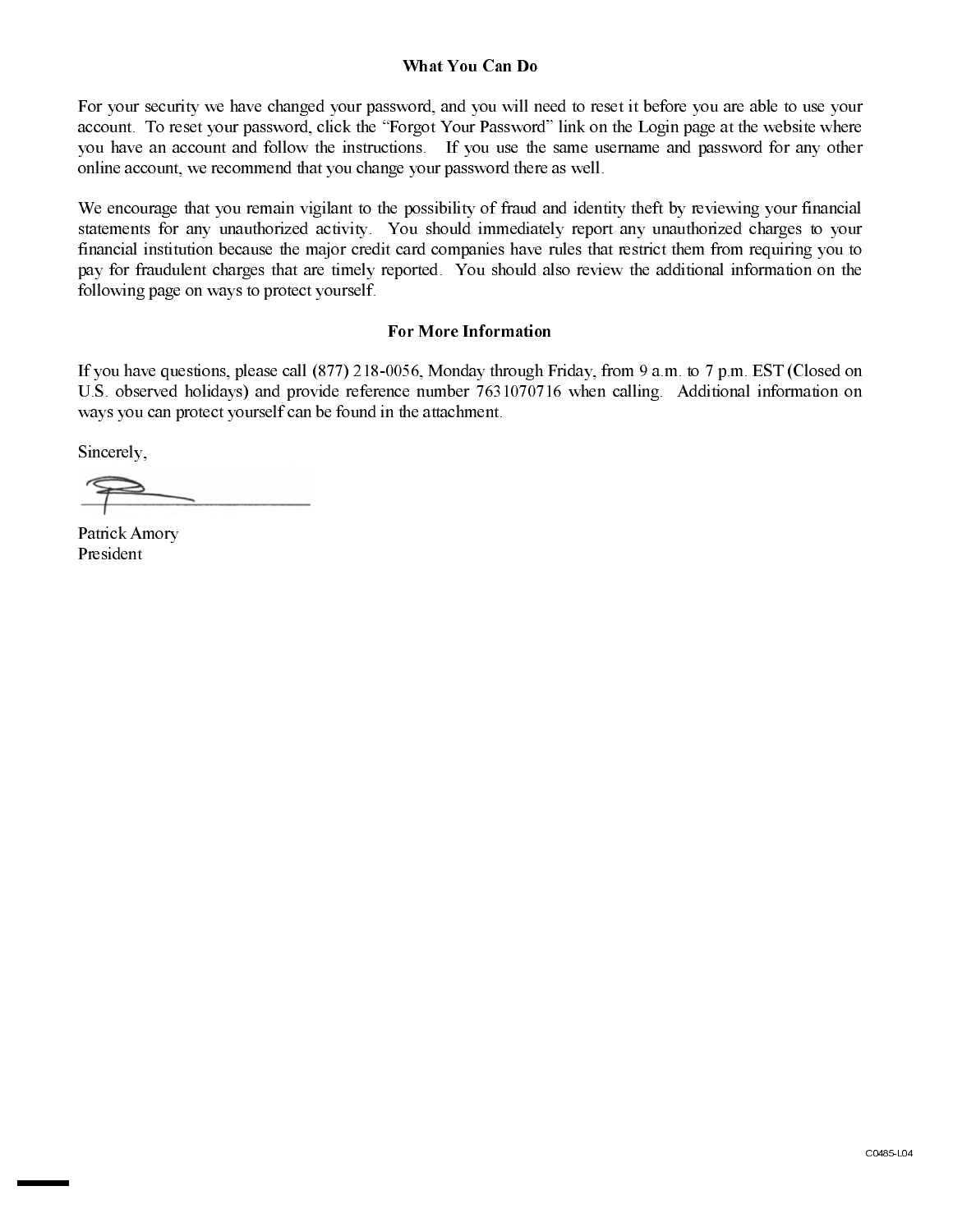#### What You Can Do

For your security we have changed your password, and you will need to reset it before you are able to use your account. To reset your password, click the "Forgot Your Password" link on the Login page at the website where you have an account and follow the instructions. If you use the same username and password for any other online account, we recommend that you change your password there as well.

We encourage that you remain vigilant to the possibility of fraud and identity theft by reviewing your financial statements for any unauthorized activity. You should immediately report any unauthorized charges to your financial institution because the major credit card companies have rules that restrict them from requiring you to pay for fraudulent charges that are timely reported. You should also review the additional information on the following page on ways to protect yourself.

#### **For More Information**

If you have questions, please call (877) 218-0056, Monday through Friday, from 9 a.m. to 7 p.m. EST (Closed on U.S. observed holidays) and provide reference number 7631070716 when calling. Additional information on ways you can protect yourself can be found in the attachment.

Sincerely,

Patrick Amory President